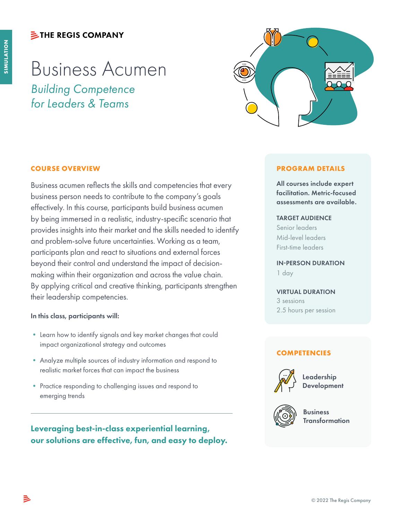# **シTHE REGIS COMPANY**

# Business Acumen *Building Competence for Leaders & Teams*



# **COURSE OVERVIEW**

Business acumen reflects the skills and competencies that every business person needs to contribute to the company's goals effectively. In this course, participants build business acumen by being immersed in a realistic, industry-specific scenario that provides insights into their market and the skills needed to identify and problem-solve future uncertainties. Working as a team, participants plan and react to situations and external forces beyond their control and understand the impact of decisionmaking within their organization and across the value chain. By applying critical and creative thinking, participants strengthen their leadership competencies.

### In this class, participants will:

- Learn how to identify signals and key market changes that could impact organizational strategy and outcomes
- Analyze multiple sources of industry information and respond to realistic market forces that can impact the business
- Practice responding to challenging issues and respond to emerging trends

Leveraging best-in-class experiential learning, our solutions are effective, fun, and easy to deploy.

### **PROGRAM DETAILS**

All courses include expert facilitation. Metric-focused assessments are available.

### TARGET AUDIENCE

Senior leaders Mid-level leaders First-time leaders

IN-PERSON DURATION 1 day

#### VIRTUAL DURATION

3 sessions 2.5 hours per session

## **COMPETENCIES**



Leadership **Development** 



Business Transformation